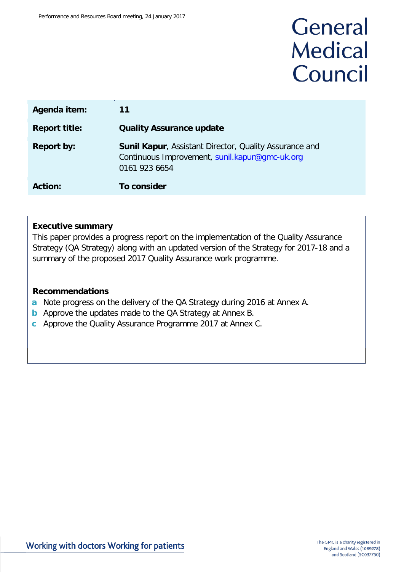# General **Medical** Council

| Agenda item:         | 11                                                                                                                               |
|----------------------|----------------------------------------------------------------------------------------------------------------------------------|
| <b>Report title:</b> | <b>Quality Assurance update</b>                                                                                                  |
| <b>Report by:</b>    | <b>Sunil Kapur, Assistant Director, Quality Assurance and</b><br>Continuous Improvement, sunil.kapur@gmc-uk.org<br>0161 923 6654 |
| <b>Action:</b>       | To consider                                                                                                                      |

#### **Executive summary**

This paper provides a progress report on the implementation of the Quality Assurance Strategy (QA Strategy) along with an updated version of the Strategy for 2017-18 and a summary of the proposed 2017 Quality Assurance work programme.

#### **Recommendations**

- **a** Note progress on the delivery of the QA Strategy during 2016 at Annex A.
- **b** Approve the updates made to the QA Strategy at Annex B.
- **c** Approve the Quality Assurance Programme 2017 at Annex C.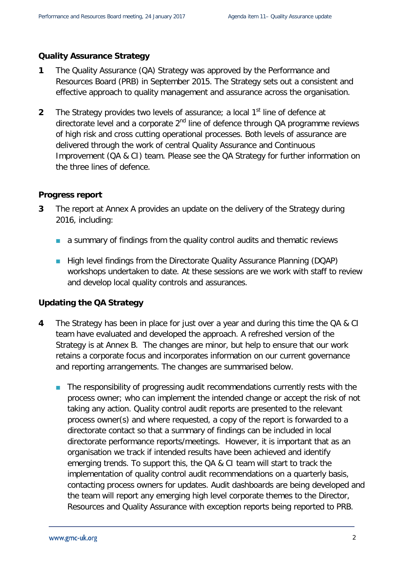#### **Quality Assurance Strategy**

- **1** The Quality Assurance (QA) Strategy was approved by the Performance and Resources Board (PRB) in September 2015. The Strategy sets out a consistent and effective approach to quality management and assurance across the organisation.
- **2** The Strategy provides two levels of assurance; a local 1<sup>st</sup> line of defence at directorate level and a corporate  $2<sup>nd</sup>$  line of defence through QA programme reviews of high risk and cross cutting operational processes. Both levels of assurance are delivered through the work of central Quality Assurance and Continuous Improvement (QA & CI) team. Please see the QA Strategy for further information on the three lines of defence.

#### **Progress report**

- **3** The report at Annex A provides an update on the delivery of the Strategy during 2016, including:
	- **a** a summary of findings from the quality control audits and thematic reviews
	- High level findings from the Directorate Quality Assurance Planning (DQAP) workshops undertaken to date. At these sessions are we work with staff to review and develop local quality controls and assurances.

#### **Updating the QA Strategy**

- **4** The Strategy has been in place for just over a year and during this time the QA & CI team have evaluated and developed the approach. A refreshed version of the Strategy is at Annex B. The changes are minor, but help to ensure that our work retains a corporate focus and incorporates information on our current governance and reporting arrangements. The changes are summarised below.
	- The responsibility of progressing audit recommendations currently rests with the process owner; who can implement the intended change or accept the risk of not taking any action. Quality control audit reports are presented to the relevant process owner(s) and where requested, a copy of the report is forwarded to a directorate contact so that a summary of findings can be included in local directorate performance reports/meetings. However, it is important that as an organisation we track if intended results have been achieved and identify emerging trends. To support this, the QA & CI team will start to track the implementation of quality control audit recommendations on a quarterly basis, contacting process owners for updates. Audit dashboards are being developed and the team will report any emerging high level corporate themes to the Director, Resources and Quality Assurance with exception reports being reported to PRB.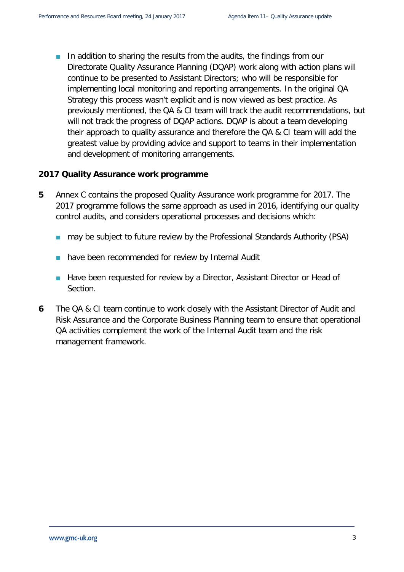In addition to sharing the results from the audits, the findings from our Directorate Quality Assurance Planning (DQAP) work along with action plans will continue to be presented to Assistant Directors; who will be responsible for implementing local monitoring and reporting arrangements. In the original QA Strategy this process wasn't explicit and is now viewed as best practice. As previously mentioned, the QA & CI team will track the audit recommendations, but will not track the progress of DQAP actions. DQAP is about a team developing their approach to quality assurance and therefore the QA & CI team will add the greatest value by providing advice and support to teams in their implementation and development of monitoring arrangements.

#### **2017 Quality Assurance work programme**

- **5** Annex C contains the proposed Quality Assurance work programme for 2017. The 2017 programme follows the same approach as used in 2016, identifying our quality control audits, and considers operational processes and decisions which:
	- may be subject to future review by the Professional Standards Authority (PSA)
	- **have been recommended for review by Internal Audit**
	- **Have been requested for review by a Director, Assistant Director or Head of** Section.
- **6** The QA & CI team continue to work closely with the Assistant Director of Audit and Risk Assurance and the Corporate Business Planning team to ensure that operational QA activities complement the work of the Internal Audit team and the risk management framework.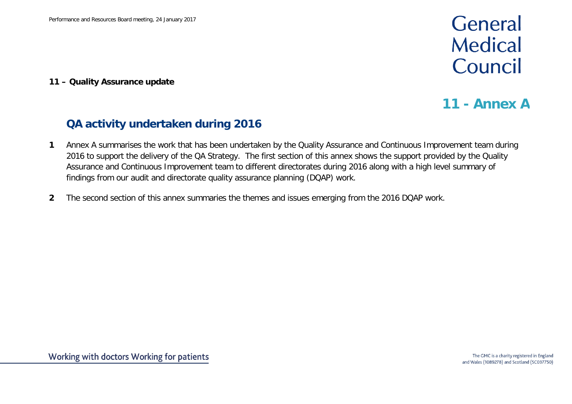# General **Medical** Council

**11 – Quality Assurance update**

## **11 - Annex A**

## **QA activity undertaken during 2016**

- **1** Annex A summarises the work that has been undertaken by the Quality Assurance and Continuous Improvement team during 2016 to support the delivery of the QA Strategy. The first section of this annex shows the support provided by the Quality Assurance and Continuous Improvement team to different directorates during 2016 along with a high level summary of findings from our audit and directorate quality assurance planning (DQAP) work.
- **2** The second section of this annex summaries the themes and issues emerging from the 2016 DQAP work.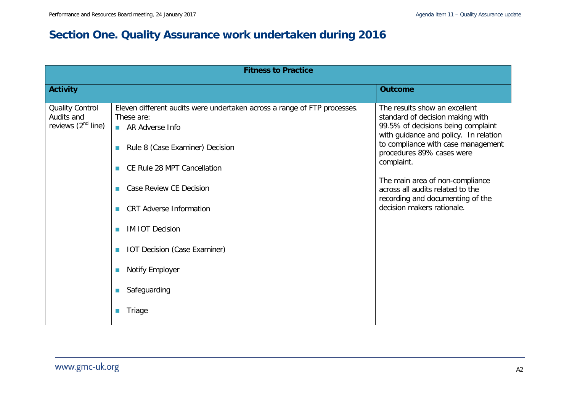## **Section One. Quality Assurance work undertaken during 2016**

|                                                                 | <b>Fitness to Practice</b>                                                                                                                                                                                                                                                                                                                                               |                                                                                                                                                                                                                                                                                                                                                                            |
|-----------------------------------------------------------------|--------------------------------------------------------------------------------------------------------------------------------------------------------------------------------------------------------------------------------------------------------------------------------------------------------------------------------------------------------------------------|----------------------------------------------------------------------------------------------------------------------------------------------------------------------------------------------------------------------------------------------------------------------------------------------------------------------------------------------------------------------------|
| <b>Activity</b>                                                 |                                                                                                                                                                                                                                                                                                                                                                          | <b>Outcome</b>                                                                                                                                                                                                                                                                                                                                                             |
| <b>Quality Control</b><br>Audits and<br>reviews $(2^{nd}$ line) | Eleven different audits were undertaken across a range of FTP processes.<br>These are:<br>AR Adverse Info<br>Rule 8 (Case Examiner) Decision<br>П<br>CE Rule 28 MPT Cancellation<br><b>In</b><br>Case Review CE Decision<br><b>CRT</b> Adverse Information<br><b>IM IOT Decision</b><br><b>IOT Decision (Case Examiner)</b><br>Notify Employer<br>Safeguarding<br>Triage | The results show an excellent<br>standard of decision making with<br>99.5% of decisions being complaint<br>with guidance and policy. In relation<br>to compliance with case management<br>procedures 89% cases were<br>complaint.<br>The main area of non-compliance<br>across all audits related to the<br>recording and documenting of the<br>decision makers rationale. |
|                                                                 |                                                                                                                                                                                                                                                                                                                                                                          |                                                                                                                                                                                                                                                                                                                                                                            |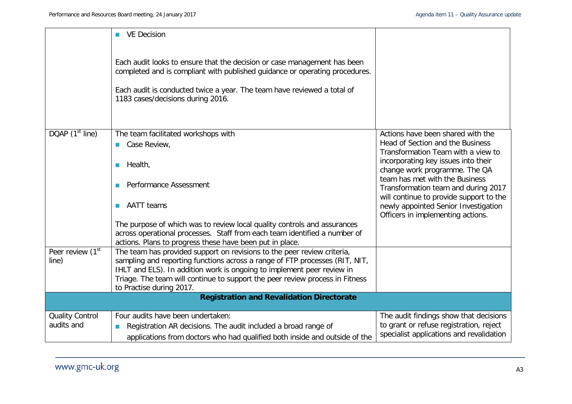|                                       | <b>VE Decision</b>                                                                                                                                                                                                                                                      |                                                                                                                      |
|---------------------------------------|-------------------------------------------------------------------------------------------------------------------------------------------------------------------------------------------------------------------------------------------------------------------------|----------------------------------------------------------------------------------------------------------------------|
|                                       | Each audit looks to ensure that the decision or case management has been<br>completed and is compliant with published guidance or operating procedures.<br>Each audit is conducted twice a year. The team have reviewed a total of<br>1183 cases/decisions during 2016. |                                                                                                                      |
| DQAP $(1st$ line)                     | The team facilitated workshops with                                                                                                                                                                                                                                     | Actions have been shared with the                                                                                    |
|                                       | Case Review,                                                                                                                                                                                                                                                            | Head of Section and the Business<br>Transformation Team with a view to                                               |
|                                       | Health,<br>$\Box$                                                                                                                                                                                                                                                       | incorporating key issues into their<br>change work programme. The QA<br>team has met with the Business               |
|                                       | Performance Assessment                                                                                                                                                                                                                                                  | Transformation team and during 2017                                                                                  |
|                                       | <b>AATT</b> teams<br><b>Ta</b>                                                                                                                                                                                                                                          | will continue to provide support to the<br>newly appointed Senior Investigation<br>Officers in implementing actions. |
|                                       | The purpose of which was to review local quality controls and assurances                                                                                                                                                                                                |                                                                                                                      |
|                                       | across operational processes. Staff from each team identified a number of<br>actions. Plans to progress these have been put in place.                                                                                                                                   |                                                                                                                      |
| Peer review (1 <sup>st</sup><br>line) | The team has provided support on revisions to the peer review criteria,<br>sampling and reporting functions across a range of FTP processes (RIT, NIT,                                                                                                                  |                                                                                                                      |
|                                       | IHLT and ELS). In addition work is ongoing to implement peer review in                                                                                                                                                                                                  |                                                                                                                      |
|                                       | Triage. The team will continue to support the peer review process in Fitness<br>to Practise during 2017.                                                                                                                                                                |                                                                                                                      |
|                                       | <b>Registration and Revalidation Directorate</b>                                                                                                                                                                                                                        |                                                                                                                      |
|                                       |                                                                                                                                                                                                                                                                         |                                                                                                                      |
| <b>Quality Control</b><br>audits and  | Four audits have been undertaken:                                                                                                                                                                                                                                       | The audit findings show that decisions<br>to grant or refuse registration, reject                                    |
|                                       | Registration AR decisions. The audit included a broad range of                                                                                                                                                                                                          | specialist applications and revalidation                                                                             |
|                                       | applications from doctors who had qualified both inside and outside of the                                                                                                                                                                                              |                                                                                                                      |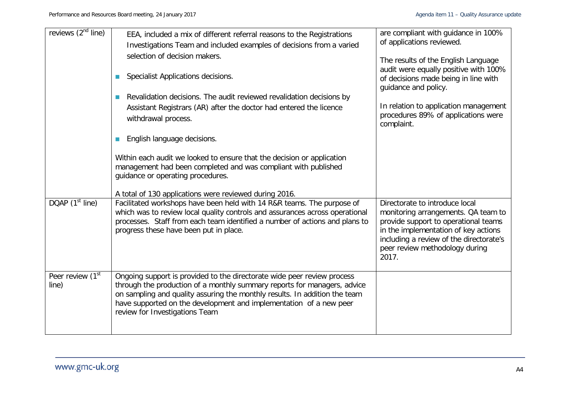| reviews $(2^{nd}$ line)               | EEA, included a mix of different referral reasons to the Registrations<br>Investigations Team and included examples of decisions from a varied<br>selection of decision makers.<br>Specialist Applications decisions.<br>$\mathbb{R}^n$<br>Revalidation decisions. The audit reviewed revalidation decisions by<br>$\mathbb{R}^n$<br>Assistant Registrars (AR) after the doctor had entered the licence<br>withdrawal process.<br>English language decisions.<br>$\mathbb{R}^n$<br>Within each audit we looked to ensure that the decision or application<br>management had been completed and was compliant with published<br>guidance or operating procedures. | are compliant with guidance in 100%<br>of applications reviewed.<br>The results of the English Language<br>audit were equally positive with 100%<br>of decisions made being in line with<br>guidance and policy.<br>In relation to application management<br>procedures 89% of applications were<br>complaint. |
|---------------------------------------|------------------------------------------------------------------------------------------------------------------------------------------------------------------------------------------------------------------------------------------------------------------------------------------------------------------------------------------------------------------------------------------------------------------------------------------------------------------------------------------------------------------------------------------------------------------------------------------------------------------------------------------------------------------|----------------------------------------------------------------------------------------------------------------------------------------------------------------------------------------------------------------------------------------------------------------------------------------------------------------|
| DQAP $(1st$ line)                     | A total of 130 applications were reviewed during 2016.<br>Facilitated workshops have been held with 14 R&R teams. The purpose of<br>which was to review local quality controls and assurances across operational<br>processes. Staff from each team identified a number of actions and plans to<br>progress these have been put in place.                                                                                                                                                                                                                                                                                                                        | Directorate to introduce local<br>monitoring arrangements. QA team to<br>provide support to operational teams<br>in the implementation of key actions<br>including a review of the directorate's<br>peer review methodology during<br>2017.                                                                    |
| Peer review (1 <sup>st</sup><br>line) | Ongoing support is provided to the directorate wide peer review process<br>through the production of a monthly summary reports for managers, advice<br>on sampling and quality assuring the monthly results. In addition the team<br>have supported on the development and implementation of a new peer<br>review for Investigations Team                                                                                                                                                                                                                                                                                                                        |                                                                                                                                                                                                                                                                                                                |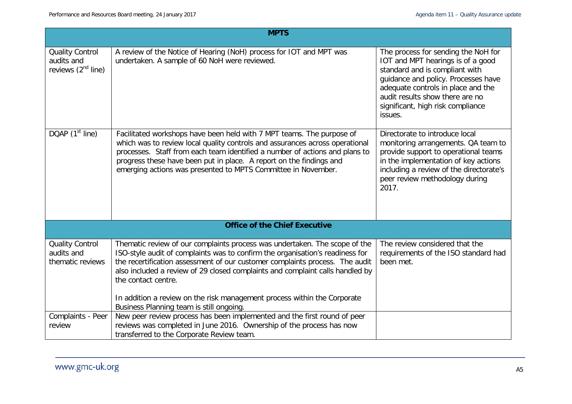|                                                                               | <b>MPTS</b>                                                                                                                                                                                                                                                                                                                                                                                                                                                                                                                                             |                                                                                                                                                                                                                                                                            |
|-------------------------------------------------------------------------------|---------------------------------------------------------------------------------------------------------------------------------------------------------------------------------------------------------------------------------------------------------------------------------------------------------------------------------------------------------------------------------------------------------------------------------------------------------------------------------------------------------------------------------------------------------|----------------------------------------------------------------------------------------------------------------------------------------------------------------------------------------------------------------------------------------------------------------------------|
| <b>Quality Control</b><br>audits and<br>reviews $(2nd$ line)                  | A review of the Notice of Hearing (NoH) process for IOT and MPT was<br>undertaken. A sample of 60 NoH were reviewed.                                                                                                                                                                                                                                                                                                                                                                                                                                    | The process for sending the NoH for<br>IOT and MPT hearings is of a good<br>standard and is compliant with<br>guidance and policy. Processes have<br>adequate controls in place and the<br>audit results show there are no<br>significant, high risk compliance<br>issues. |
| DQAP (1 <sup>st</sup> line)                                                   | Facilitated workshops have been held with 7 MPT teams. The purpose of<br>which was to review local quality controls and assurances across operational<br>processes. Staff from each team identified a number of actions and plans to<br>progress these have been put in place. A report on the findings and<br>emerging actions was presented to MPTS Committee in November.                                                                                                                                                                            | Directorate to introduce local<br>monitoring arrangements. QA team to<br>provide support to operational teams<br>in the implementation of key actions<br>including a review of the directorate's<br>peer review methodology during<br>2017.                                |
|                                                                               | <b>Office of the Chief Executive</b>                                                                                                                                                                                                                                                                                                                                                                                                                                                                                                                    |                                                                                                                                                                                                                                                                            |
| <b>Quality Control</b><br>audits and<br>thematic reviews<br>Complaints - Peer | Thematic review of our complaints process was undertaken. The scope of the<br>ISO-style audit of complaints was to confirm the organisation's readiness for<br>the recertification assessment of our customer complaints process. The audit<br>also included a review of 29 closed complaints and complaint calls handled by<br>the contact centre.<br>In addition a review on the risk management process within the Corporate<br>Business Planning team is still ongoing.<br>New peer review process has been implemented and the first round of peer | The review considered that the<br>requirements of the ISO standard had<br>been met.                                                                                                                                                                                        |
| review                                                                        | reviews was completed in June 2016. Ownership of the process has now<br>transferred to the Corporate Review team.                                                                                                                                                                                                                                                                                                                                                                                                                                       |                                                                                                                                                                                                                                                                            |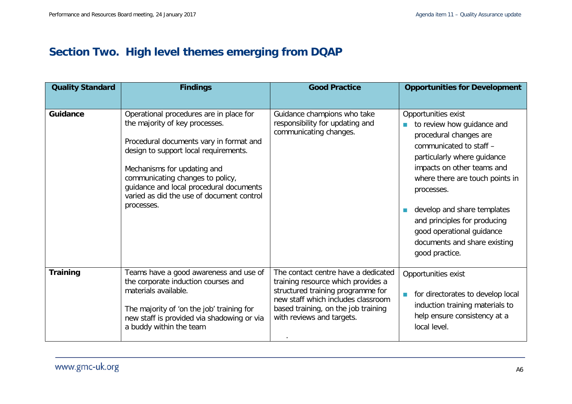## **Section Two. High level themes emerging from DQAP**

| <b>Quality Standard</b> | <b>Findings</b>                                                                                                                                                                                                                                                                                                                        | <b>Good Practice</b>                                                                                                                                                                                                     | <b>Opportunities for Development</b>                                                                                                                                                                                                                                                                                                                               |
|-------------------------|----------------------------------------------------------------------------------------------------------------------------------------------------------------------------------------------------------------------------------------------------------------------------------------------------------------------------------------|--------------------------------------------------------------------------------------------------------------------------------------------------------------------------------------------------------------------------|--------------------------------------------------------------------------------------------------------------------------------------------------------------------------------------------------------------------------------------------------------------------------------------------------------------------------------------------------------------------|
| Guidance                | Operational procedures are in place for<br>the majority of key processes.<br>Procedural documents vary in format and<br>design to support local requirements.<br>Mechanisms for updating and<br>communicating changes to policy,<br>guidance and local procedural documents<br>varied as did the use of document control<br>processes. | Guidance champions who take<br>responsibility for updating and<br>communicating changes.                                                                                                                                 | Opportunities exist<br>to review how guidance and<br>procedural changes are<br>communicated to staff -<br>particularly where guidance<br>impacts on other teams and<br>where there are touch points in<br>processes.<br>develop and share templates<br>and principles for producing<br>good operational guidance<br>documents and share existing<br>good practice. |
| <b>Training</b>         | Teams have a good awareness and use of<br>the corporate induction courses and<br>materials available.<br>The majority of 'on the job' training for<br>new staff is provided via shadowing or via<br>a buddy within the team                                                                                                            | The contact centre have a dedicated<br>training resource which provides a<br>structured training programme for<br>new staff which includes classroom<br>based training, on the job training<br>with reviews and targets. | Opportunities exist<br>for directorates to develop local<br>induction training materials to<br>help ensure consistency at a<br>local level.                                                                                                                                                                                                                        |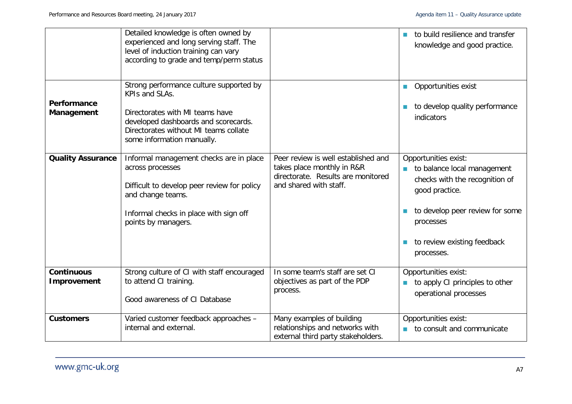|                                  | Detailed knowledge is often owned by<br>experienced and long serving staff. The<br>level of induction training can vary<br>according to grade and temp/perm status                                          |                                                                                                                                   | to build resilience and transfer<br>knowledge and good practice.                                                                                                                                     |
|----------------------------------|-------------------------------------------------------------------------------------------------------------------------------------------------------------------------------------------------------------|-----------------------------------------------------------------------------------------------------------------------------------|------------------------------------------------------------------------------------------------------------------------------------------------------------------------------------------------------|
| Performance<br>Management        | Strong performance culture supported by<br>KPIs and SLAs.<br>Directorates with MI teams have<br>developed dashboards and scorecards.<br>Directorates without MI teams collate<br>some information manually. |                                                                                                                                   | Opportunities exist<br>to develop quality performance<br>indicators                                                                                                                                  |
| <b>Quality Assurance</b>         | Informal management checks are in place<br>across processes<br>Difficult to develop peer review for policy<br>and change teams.<br>Informal checks in place with sign off<br>points by managers.            | Peer review is well established and<br>takes place monthly in R&R<br>directorate. Results are monitored<br>and shared with staff. | Opportunities exist:<br>to balance local management<br>checks with the recognition of<br>good practice.<br>to develop peer review for some<br>processes<br>to review existing feedback<br>processes. |
| <b>Continuous</b><br>Improvement | Strong culture of CI with staff encouraged<br>to attend CI training.<br>Good awareness of CI Database                                                                                                       | In some team's staff are set CI<br>objectives as part of the PDP<br>process.                                                      | Opportunities exist:<br>to apply CI principles to other<br>operational processes                                                                                                                     |
| <b>Customers</b>                 | Varied customer feedback approaches -<br>internal and external.                                                                                                                                             | Many examples of building<br>relationships and networks with<br>external third party stakeholders.                                | Opportunities exist:<br>to consult and communicate                                                                                                                                                   |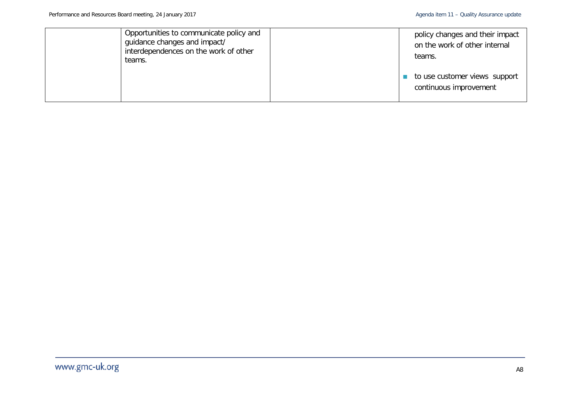| Opportunities to communicate policy and<br>guidance changes and impact/<br>interdependences on the work of other<br>teams. |  | policy changes and their impact<br>on the work of other internal<br>teams. |
|----------------------------------------------------------------------------------------------------------------------------|--|----------------------------------------------------------------------------|
|                                                                                                                            |  | to use customer views support<br>continuous improvement                    |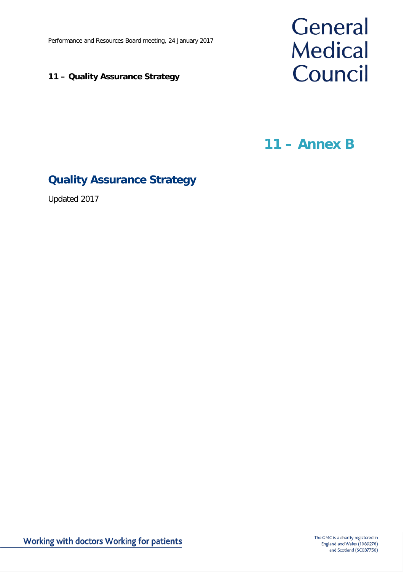Performance and Resources Board meeting, 24 January 2017

#### **11 – Quality Assurance Strategy**



**11 – Annex B**

## **Quality Assurance Strategy**

Updated 2017

Working with doctors Working for patients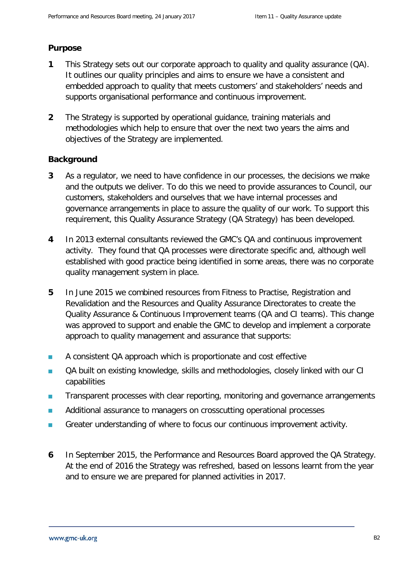#### **Purpose**

- **1** This Strategy sets out our corporate approach to quality and quality assurance (QA). It outlines our quality principles and aims to ensure we have a consistent and embedded approach to quality that meets customers' and stakeholders' needs and supports organisational performance and continuous improvement.
- **2** The Strategy is supported by operational guidance, training materials and methodologies which help to ensure that over the next two years the aims and objectives of the Strategy are implemented.

#### **Background**

- **3** As a regulator, we need to have confidence in our processes, the decisions we make and the outputs we deliver. To do this we need to provide assurances to Council, our customers, stakeholders and ourselves that we have internal processes and governance arrangements in place to assure the quality of our work. To support this requirement, this Quality Assurance Strategy (QA Strategy) has been developed.
- **4** In 2013 external consultants reviewed the GMC's QA and continuous improvement activity. They found that QA processes were directorate specific and, although well established with good practice being identified in some areas, there was no corporate quality management system in place.
- **5** In June 2015 we combined resources from Fitness to Practise, Registration and Revalidation and the Resources and Quality Assurance Directorates to create the Quality Assurance & Continuous Improvement teams (QA and CI teams). This change was approved to support and enable the GMC to develop and implement a corporate approach to quality management and assurance that supports:
- **A** consistent QA approach which is proportionate and cost effective
- OA built on existing knowledge, skills and methodologies, closely linked with our CI capabilities
- **Transparent processes with clear reporting, monitoring and governance arrangements**
- **Additional assurance to managers on crosscutting operational processes**
- Greater understanding of where to focus our continuous improvement activity.
- **6** In September 2015, the Performance and Resources Board approved the QA Strategy. At the end of 2016 the Strategy was refreshed, based on lessons learnt from the year and to ensure we are prepared for planned activities in 2017.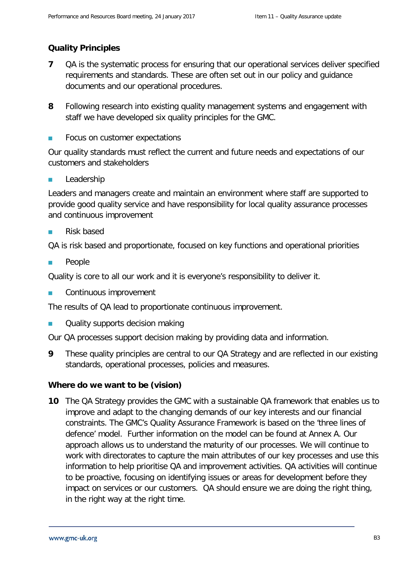#### **Quality Principles**

- **7** QA is the systematic process for ensuring that our operational services deliver specified requirements and standards. These are often set out in our policy and guidance documents and our operational procedures.
- **8** Following research into existing quality management systems and engagement with staff we have developed six quality principles for the GMC.
- Focus on customer expectations

Our quality standards must reflect the current and future needs and expectations of our customers and stakeholders

Leadership

Leaders and managers create and maintain an environment where staff are supported to provide good quality service and have responsibility for local quality assurance processes and continuous improvement

**Risk based** 

QA is risk based and proportionate, focused on key functions and operational priorities

**People** 

Quality is core to all our work and it is everyone's responsibility to deliver it.

**Continuous improvement** 

The results of QA lead to proportionate continuous improvement.

**Quality supports decision making** 

Our QA processes support decision making by providing data and information.

**9** These quality principles are central to our QA Strategy and are reflected in our existing standards, operational processes, policies and measures.

#### **Where do we want to be (vision)**

**10** The QA Strategy provides the GMC with a sustainable QA framework that enables us to improve and adapt to the changing demands of our key interests and our financial constraints. The GMC's Quality Assurance Framework is based on the 'three lines of defence' model. Further information on the model can be found at Annex A. Our approach allows us to understand the maturity of our processes. We will continue to work with directorates to capture the main attributes of our key processes and use this information to help prioritise QA and improvement activities. QA activities will continue to be proactive, focusing on identifying issues or areas for development before they impact on services or our customers. QA should ensure we are doing the right thing, in the right way at the right time.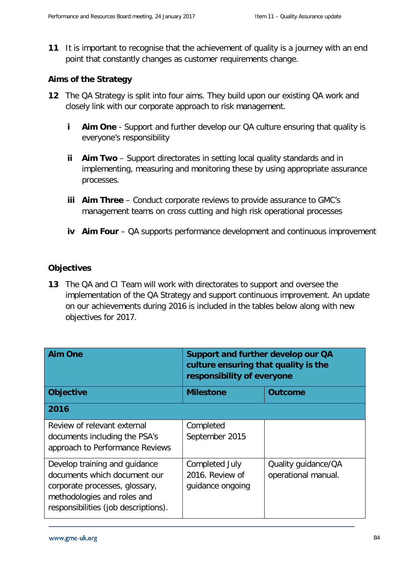**11** It is important to recognise that the achievement of quality is a journey with an end point that constantly changes as customer requirements change.

#### **Aims of the Strategy**

- **12** The QA Strategy is split into four aims. They build upon our existing QA work and closely link with our corporate approach to risk management.
	- **i Aim One** Support and further develop our QA culture ensuring that quality is everyone's responsibility
	- **ii Aim Two** Support directorates in setting local quality standards and in implementing, measuring and monitoring these by using appropriate assurance processes.
	- **iii Aim Three** Conduct corporate reviews to provide assurance to GMC's management teams on cross cutting and high risk operational processes
	- **iv Aim Four** QA supports performance development and continuous improvement

#### **Objectives**

**13** The QA and CI Team will work with directorates to support and oversee the implementation of the QA Strategy and support continuous improvement. An update on our achievements during 2016 is included in the tables below along with new objectives for 2017.

| <b>Aim One</b>                                                                                                                                                         | Support and further develop our QA<br>culture ensuring that quality is the<br>responsibility of everyone |                                            |
|------------------------------------------------------------------------------------------------------------------------------------------------------------------------|----------------------------------------------------------------------------------------------------------|--------------------------------------------|
| <b>Objective</b>                                                                                                                                                       | <b>Milestone</b>                                                                                         | <b>Outcome</b>                             |
| 2016                                                                                                                                                                   |                                                                                                          |                                            |
| Review of relevant external<br>documents including the PSA's<br>approach to Performance Reviews                                                                        | Completed<br>September 2015                                                                              |                                            |
| Develop training and guidance<br>documents which document our<br>corporate processes, glossary,<br>methodologies and roles and<br>responsibilities (job descriptions). | Completed July<br>2016. Review of<br>guidance ongoing                                                    | Quality guidance/QA<br>operational manual. |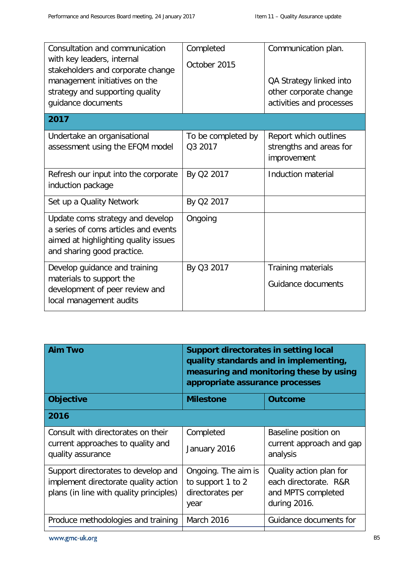| Consultation and communication<br>with key leaders, internal<br>stakeholders and corporate change<br>management initiatives on the<br>strategy and supporting quality<br>guidance documents | Completed<br>October 2015     | Communication plan.<br>QA Strategy linked into<br>other corporate change<br>activities and processes |
|---------------------------------------------------------------------------------------------------------------------------------------------------------------------------------------------|-------------------------------|------------------------------------------------------------------------------------------------------|
| 2017                                                                                                                                                                                        |                               |                                                                                                      |
| Undertake an organisational<br>assessment using the EFQM model                                                                                                                              | To be completed by<br>Q3 2017 | Report which outlines<br>strengths and areas for<br>improvement                                      |
| Refresh our input into the corporate<br>induction package                                                                                                                                   | By Q2 2017                    | Induction material                                                                                   |
| Set up a Quality Network                                                                                                                                                                    | By Q2 2017                    |                                                                                                      |
| Update coms strategy and develop<br>a series of coms articles and events<br>aimed at highlighting quality issues<br>and sharing good practice.                                              | Ongoing                       |                                                                                                      |
| Develop guidance and training<br>materials to support the<br>development of peer review and<br>local management audits                                                                      | By Q3 2017                    | Training materials<br>Guidance documents                                                             |

| <b>Aim Two</b>                                                                                                         | Support directorates in setting local<br>quality standards and in implementing,<br>measuring and monitoring these by using<br>appropriate assurance processes |                                                                                        |  |
|------------------------------------------------------------------------------------------------------------------------|---------------------------------------------------------------------------------------------------------------------------------------------------------------|----------------------------------------------------------------------------------------|--|
| <b>Objective</b>                                                                                                       | <b>Milestone</b>                                                                                                                                              | <b>Outcome</b>                                                                         |  |
| 2016                                                                                                                   |                                                                                                                                                               |                                                                                        |  |
| Consult with directorates on their<br>current approaches to quality and<br>quality assurance                           | Completed<br>January 2016                                                                                                                                     | Baseline position on<br>current approach and gap<br>analysis                           |  |
| Support directorates to develop and<br>implement directorate quality action<br>plans (in line with quality principles) | Ongoing. The aim is<br>to support 1 to 2<br>directorates per<br>year                                                                                          | Quality action plan for<br>each directorate. R&R<br>and MPTS completed<br>during 2016. |  |
| Produce methodologies and training                                                                                     | <b>March 2016</b>                                                                                                                                             | Guidance documents for                                                                 |  |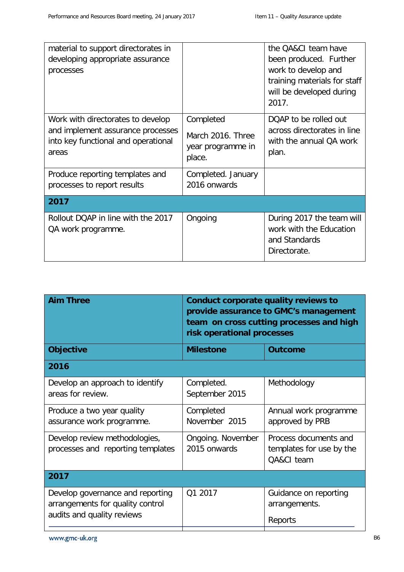| material to support directorates in<br>developing appropriate assurance<br>processes                                   |                                                               | the OA&CI team have<br>been produced. Further<br>work to develop and<br>training materials for staff<br>will be developed during<br>2017. |
|------------------------------------------------------------------------------------------------------------------------|---------------------------------------------------------------|-------------------------------------------------------------------------------------------------------------------------------------------|
| Work with directorates to develop<br>and implement assurance processes<br>into key functional and operational<br>areas | Completed<br>March 2016. Three<br>year programme in<br>place. | DQAP to be rolled out<br>across directorates in line<br>with the annual QA work<br>plan.                                                  |
| Produce reporting templates and<br>processes to report results                                                         | Completed. January<br>2016 onwards                            |                                                                                                                                           |
| 2017                                                                                                                   |                                                               |                                                                                                                                           |
| Rollout DQAP in line with the 2017<br>QA work programme.                                                               | Ongoing                                                       | During 2017 the team will<br>work with the Education<br>and Standards<br>Directorate.                                                     |

| <b>Aim Three</b>                                                                                   | Conduct corporate quality reviews to<br>provide assurance to GMC's management<br>team on cross cutting processes and high<br>risk operational processes |                                                                 |  |
|----------------------------------------------------------------------------------------------------|---------------------------------------------------------------------------------------------------------------------------------------------------------|-----------------------------------------------------------------|--|
| <b>Objective</b>                                                                                   | <b>Milestone</b>                                                                                                                                        | Outcome                                                         |  |
| 2016                                                                                               |                                                                                                                                                         |                                                                 |  |
| Develop an approach to identify<br>areas for review.                                               | Completed.<br>September 2015                                                                                                                            | Methodology                                                     |  |
| Produce a two year quality<br>assurance work programme.                                            | Completed<br>November 2015                                                                                                                              | Annual work programme<br>approved by PRB                        |  |
| Develop review methodologies,<br>processes and reporting templates                                 | Ongoing. November<br>2015 onwards                                                                                                                       | Process documents and<br>templates for use by the<br>QA&CI team |  |
| 2017                                                                                               |                                                                                                                                                         |                                                                 |  |
| Develop governance and reporting<br>arrangements for quality control<br>audits and quality reviews | Q1 2017                                                                                                                                                 | Guidance on reporting<br>arrangements.<br>Reports               |  |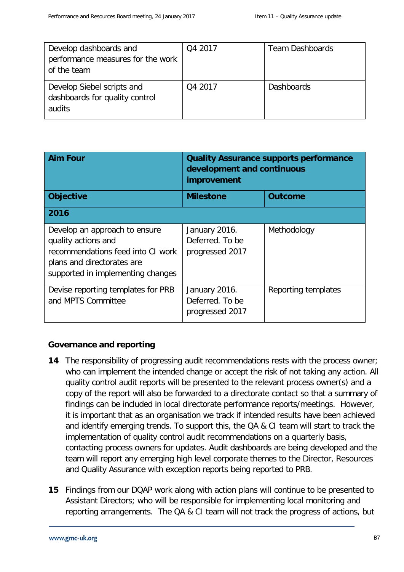| Develop dashboards and<br>performance measures for the work<br>of the team | Q4 2017 | <b>Team Dashboards</b> |
|----------------------------------------------------------------------------|---------|------------------------|
| Develop Siebel scripts and<br>dashboards for quality control<br>audits     | Q4 2017 | <b>Dashboards</b>      |

| <b>Aim Four</b>                                                                                                                                              | <b>Quality Assurance supports performance</b><br>development and continuous<br>improvement |                     |
|--------------------------------------------------------------------------------------------------------------------------------------------------------------|--------------------------------------------------------------------------------------------|---------------------|
| <b>Objective</b>                                                                                                                                             | <b>Milestone</b>                                                                           | <b>Outcome</b>      |
| 2016                                                                                                                                                         |                                                                                            |                     |
| Develop an approach to ensure<br>quality actions and<br>recommendations feed into CI work<br>plans and directorates are<br>supported in implementing changes | January 2016.<br>Deferred. To be<br>progressed 2017                                        | Methodology         |
| Devise reporting templates for PRB<br>and MPTS Committee                                                                                                     | January 2016.<br>Deferred. To be<br>progressed 2017                                        | Reporting templates |

#### **Governance and reporting**

- **14** The responsibility of progressing audit recommendations rests with the process owner; who can implement the intended change or accept the risk of not taking any action. All quality control audit reports will be presented to the relevant process owner(s) and a copy of the report will also be forwarded to a directorate contact so that a summary of findings can be included in local directorate performance reports/meetings. However, it is important that as an organisation we track if intended results have been achieved and identify emerging trends. To support this, the QA & CI team will start to track the implementation of quality control audit recommendations on a quarterly basis, contacting process owners for updates. Audit dashboards are being developed and the team will report any emerging high level corporate themes to the Director, Resources and Quality Assurance with exception reports being reported to PRB.
- **15** Findings from our DQAP work along with action plans will continue to be presented to Assistant Directors; who will be responsible for implementing local monitoring and reporting arrangements. The QA & CI team will not track the progress of actions, but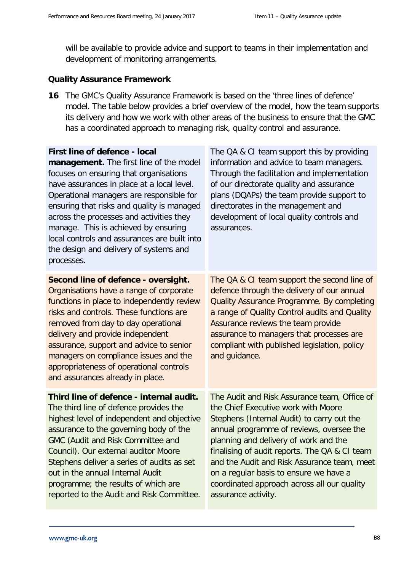will be available to provide advice and support to teams in their implementation and development of monitoring arrangements.

#### **Quality Assurance Framework**

**16** The GMC's Quality Assurance Framework is based on the 'three lines of defence' model. The table below provides a brief overview of the model, how the team supports its delivery and how we work with other areas of the business to ensure that the GMC has a coordinated approach to managing risk, quality control and assurance.

| <b>First line of defence - local</b><br>management. The first line of the model<br>focuses on ensuring that organisations<br>have assurances in place at a local level.<br>Operational managers are responsible for<br>ensuring that risks and quality is managed<br>across the processes and activities they<br>manage. This is achieved by ensuring<br>local controls and assurances are built into<br>the design and delivery of systems and<br>processes. | The QA & CI team support this by providing<br>information and advice to team managers.<br>Through the facilitation and implementation<br>of our directorate quality and assurance<br>plans (DQAPs) the team provide support to<br>directorates in the management and<br>development of local quality controls and<br>assurances.                                                                                                       |
|---------------------------------------------------------------------------------------------------------------------------------------------------------------------------------------------------------------------------------------------------------------------------------------------------------------------------------------------------------------------------------------------------------------------------------------------------------------|----------------------------------------------------------------------------------------------------------------------------------------------------------------------------------------------------------------------------------------------------------------------------------------------------------------------------------------------------------------------------------------------------------------------------------------|
| Second line of defence - oversight.<br>Organisations have a range of corporate<br>functions in place to independently review<br>risks and controls. These functions are<br>removed from day to day operational<br>delivery and provide independent<br>assurance, support and advice to senior<br>managers on compliance issues and the<br>appropriateness of operational controls<br>and assurances already in place.                                         | The QA & CI team support the second line of<br>defence through the delivery of our annual<br>Quality Assurance Programme. By completing<br>a range of Quality Control audits and Quality<br>Assurance reviews the team provide<br>assurance to managers that processes are<br>compliant with published legislation, policy<br>and guidance.                                                                                            |
| Third line of defence - internal audit.<br>The third line of defence provides the<br>highest level of independent and objective<br>assurance to the governing body of the<br>GMC (Audit and Risk Committee and<br>Council). Our external auditor Moore<br>Stephens deliver a series of audits as set<br>out in the annual Internal Audit<br>programme; the results of which are<br>reported to the Audit and Risk Committee.                                  | The Audit and Risk Assurance team, Office of<br>the Chief Executive work with Moore<br>Stephens (Internal Audit) to carry out the<br>annual programme of reviews, oversee the<br>planning and delivery of work and the<br>finalising of audit reports. The QA & CI team<br>and the Audit and Risk Assurance team, meet<br>on a regular basis to ensure we have a<br>coordinated approach across all our quality<br>assurance activity. |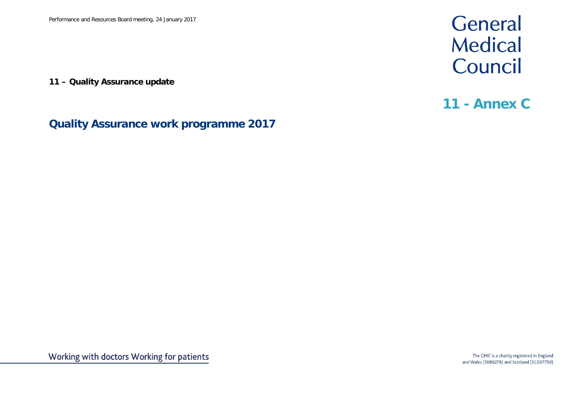**11 – Quality Assurance update**

# General **Medical** Council

## **11 - Annex C**

### **Quality Assurance work programme 2017**

Working with doctors Working for patients

The GMC is a charity registered in England and Wales (1089278) and Scotland (SC037750)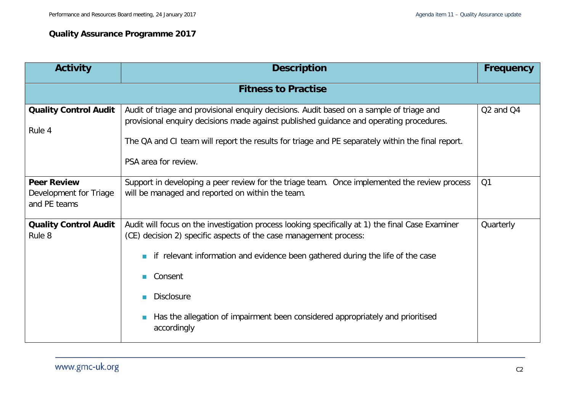### **Quality Assurance Programme 2017**

| <b>Activity</b>                                              | <b>Description</b>                                                                                                                                                                                                                                                                                                                                                                                            | <b>Frequency</b>                  |
|--------------------------------------------------------------|---------------------------------------------------------------------------------------------------------------------------------------------------------------------------------------------------------------------------------------------------------------------------------------------------------------------------------------------------------------------------------------------------------------|-----------------------------------|
|                                                              | <b>Fitness to Practise</b>                                                                                                                                                                                                                                                                                                                                                                                    |                                   |
| <b>Quality Control Audit</b><br>Rule 4                       | Audit of triage and provisional enquiry decisions. Audit based on a sample of triage and<br>provisional enquiry decisions made against published guidance and operating procedures.<br>The QA and CI team will report the results for triage and PE separately within the final report.<br>PSA area for review.                                                                                               | Q <sub>2</sub> and Q <sub>4</sub> |
| <b>Peer Review</b><br>Development for Triage<br>and PE teams | Support in developing a peer review for the triage team. Once implemented the review process<br>will be managed and reported on within the team.                                                                                                                                                                                                                                                              | Q1                                |
| <b>Quality Control Audit</b><br>Rule 8                       | Audit will focus on the investigation process looking specifically at 1) the final Case Examiner<br>(CE) decision 2) specific aspects of the case management process:<br>if relevant information and evidence been gathered during the life of the case<br>Consent<br><b>The Second</b><br><b>Disclosure</b><br>Has the allegation of impairment been considered appropriately and prioritised<br>accordingly | Quarterly                         |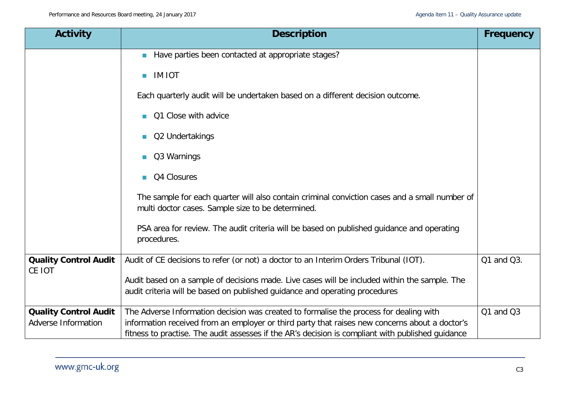| <b>Activity</b>                                     | <b>Description</b>                                                                                                                                                                                                                                                                            | <b>Frequency</b> |
|-----------------------------------------------------|-----------------------------------------------------------------------------------------------------------------------------------------------------------------------------------------------------------------------------------------------------------------------------------------------|------------------|
|                                                     | Have parties been contacted at appropriate stages?                                                                                                                                                                                                                                            |                  |
|                                                     | <b>IM IOT</b><br><b>T</b>                                                                                                                                                                                                                                                                     |                  |
|                                                     | Each quarterly audit will be undertaken based on a different decision outcome.                                                                                                                                                                                                                |                  |
|                                                     | Q1 Close with advice                                                                                                                                                                                                                                                                          |                  |
|                                                     | Q2 Undertakings<br>m.                                                                                                                                                                                                                                                                         |                  |
|                                                     | Q3 Warnings<br><b>The State</b>                                                                                                                                                                                                                                                               |                  |
|                                                     | Q4 Closures                                                                                                                                                                                                                                                                                   |                  |
|                                                     | The sample for each quarter will also contain criminal conviction cases and a small number of<br>multi doctor cases. Sample size to be determined.                                                                                                                                            |                  |
|                                                     | PSA area for review. The audit criteria will be based on published guidance and operating<br>procedures.                                                                                                                                                                                      |                  |
| <b>Quality Control Audit</b>                        | Audit of CE decisions to refer (or not) a doctor to an Interim Orders Tribunal (IOT).                                                                                                                                                                                                         | Q1 and Q3.       |
| CE IOT                                              | Audit based on a sample of decisions made. Live cases will be included within the sample. The<br>audit criteria will be based on published quidance and operating procedures                                                                                                                  |                  |
| <b>Quality Control Audit</b><br>Adverse Information | The Adverse Information decision was created to formalise the process for dealing with<br>information received from an employer or third party that raises new concerns about a doctor's<br>fitness to practise. The audit assesses if the AR's decision is compliant with published quidance | Q1 and Q3        |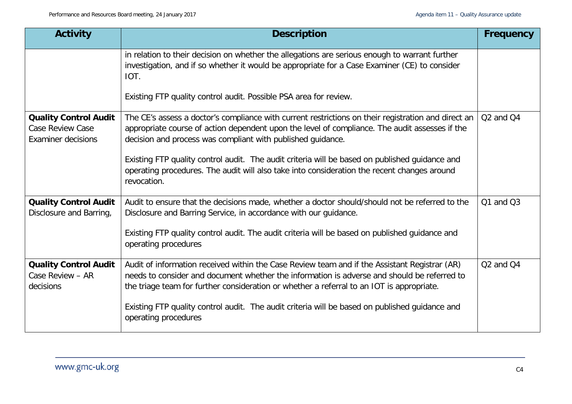| <b>Activity</b>                                                                      | <b>Description</b>                                                                                                                                                                                                                                                                                                                                                                                                                                                                   | <b>Frequency</b>                  |
|--------------------------------------------------------------------------------------|--------------------------------------------------------------------------------------------------------------------------------------------------------------------------------------------------------------------------------------------------------------------------------------------------------------------------------------------------------------------------------------------------------------------------------------------------------------------------------------|-----------------------------------|
|                                                                                      | in relation to their decision on whether the allegations are serious enough to warrant further<br>investigation, and if so whether it would be appropriate for a Case Examiner (CE) to consider<br>IOT.<br>Existing FTP quality control audit. Possible PSA area for review.                                                                                                                                                                                                         |                                   |
| <b>Quality Control Audit</b><br><b>Case Review Case</b><br><b>Examiner decisions</b> | The CE's assess a doctor's compliance with current restrictions on their registration and direct an<br>appropriate course of action dependent upon the level of compliance. The audit assesses if the<br>decision and process was compliant with published guidance.<br>Existing FTP quality control audit. The audit criteria will be based on published guidance and<br>operating procedures. The audit will also take into consideration the recent changes around<br>revocation. | Q <sub>2</sub> and Q <sub>4</sub> |
| <b>Quality Control Audit</b><br>Disclosure and Barring,                              | Audit to ensure that the decisions made, whether a doctor should/should not be referred to the<br>Disclosure and Barring Service, in accordance with our guidance.<br>Existing FTP quality control audit. The audit criteria will be based on published guidance and<br>operating procedures                                                                                                                                                                                         | $Q1$ and $Q3$                     |
| <b>Quality Control Audit</b><br>Case Review - AR<br>decisions                        | Audit of information received within the Case Review team and if the Assistant Registrar (AR)<br>needs to consider and document whether the information is adverse and should be referred to<br>the triage team for further consideration or whether a referral to an IOT is appropriate.<br>Existing FTP quality control audit. The audit criteria will be based on published guidance and<br>operating procedures                                                                  | Q <sub>2</sub> and Q <sub>4</sub> |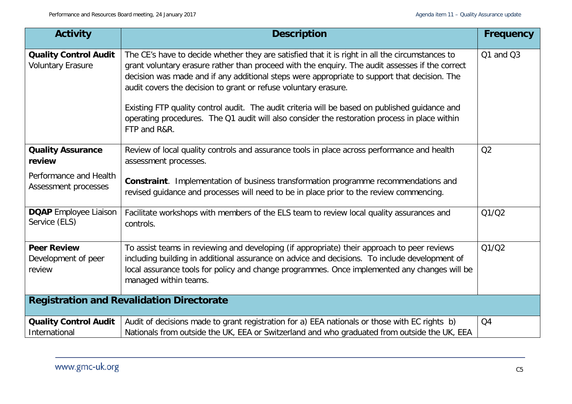| <b>Activity</b>                                          | <b>Description</b>                                                                                                                                                                                                                                                                                                                                                                                                                                                                                                                                                                       | <b>Frequency</b> |
|----------------------------------------------------------|------------------------------------------------------------------------------------------------------------------------------------------------------------------------------------------------------------------------------------------------------------------------------------------------------------------------------------------------------------------------------------------------------------------------------------------------------------------------------------------------------------------------------------------------------------------------------------------|------------------|
| <b>Quality Control Audit</b><br><b>Voluntary Erasure</b> | The CE's have to decide whether they are satisfied that it is right in all the circumstances to<br>grant voluntary erasure rather than proceed with the enquiry. The audit assesses if the correct<br>decision was made and if any additional steps were appropriate to support that decision. The<br>audit covers the decision to grant or refuse voluntary erasure.<br>Existing FTP quality control audit. The audit criteria will be based on published guidance and<br>operating procedures. The Q1 audit will also consider the restoration process in place within<br>FTP and R&R. | Q1 and Q3        |
| <b>Quality Assurance</b><br>review                       | Review of local quality controls and assurance tools in place across performance and health<br>assessment processes.                                                                                                                                                                                                                                                                                                                                                                                                                                                                     | Q2               |
| Performance and Health<br>Assessment processes           | Constraint. Implementation of business transformation programme recommendations and<br>revised guidance and processes will need to be in place prior to the review commencing.                                                                                                                                                                                                                                                                                                                                                                                                           |                  |
| <b>DQAP</b> Employee Liaison<br>Service (ELS)            | Facilitate workshops with members of the ELS team to review local quality assurances and<br>controls.                                                                                                                                                                                                                                                                                                                                                                                                                                                                                    | Q1/Q2            |
| <b>Peer Review</b><br>Development of peer<br>review      | To assist teams in reviewing and developing (if appropriate) their approach to peer reviews<br>including building in additional assurance on advice and decisions. To include development of<br>local assurance tools for policy and change programmes. Once implemented any changes will be<br>managed within teams.                                                                                                                                                                                                                                                                    | Q1/Q2            |
|                                                          | <b>Registration and Revalidation Directorate</b>                                                                                                                                                                                                                                                                                                                                                                                                                                                                                                                                         |                  |
| <b>Quality Control Audit</b><br>International            | Audit of decisions made to grant registration for a) EEA nationals or those with EC rights b)<br>Nationals from outside the UK, EEA or Switzerland and who graduated from outside the UK, EEA                                                                                                                                                                                                                                                                                                                                                                                            | Q4               |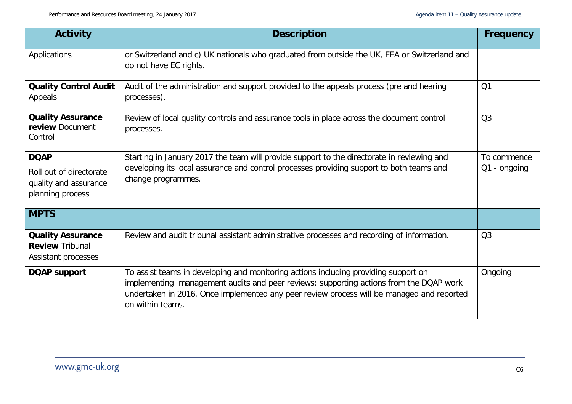| <b>Activity</b>                                                           | <b>Description</b>                                                                                                                                                                                                                                                                             | <b>Frequency</b> |
|---------------------------------------------------------------------------|------------------------------------------------------------------------------------------------------------------------------------------------------------------------------------------------------------------------------------------------------------------------------------------------|------------------|
| Applications                                                              | or Switzerland and c) UK nationals who graduated from outside the UK, EEA or Switzerland and<br>do not have EC rights.                                                                                                                                                                         |                  |
| <b>Quality Control Audit</b><br>Appeals                                   | Audit of the administration and support provided to the appeals process (pre and hearing<br>processes).                                                                                                                                                                                        | Q <sub>1</sub>   |
| <b>Quality Assurance</b><br>review Document<br>Control                    | Review of local quality controls and assurance tools in place across the document control<br>processes.                                                                                                                                                                                        | Q <sub>3</sub>   |
| <b>DQAP</b>                                                               | Starting in January 2017 the team will provide support to the directorate in reviewing and                                                                                                                                                                                                     | To commence      |
| Roll out of directorate<br>quality and assurance<br>planning process      | developing its local assurance and control processes providing support to both teams and<br>change programmes.                                                                                                                                                                                 | $Q1 -$ ongoing   |
| <b>MPTS</b>                                                               |                                                                                                                                                                                                                                                                                                |                  |
| <b>Quality Assurance</b><br><b>Review Tribunal</b><br>Assistant processes | Review and audit tribunal assistant administrative processes and recording of information.                                                                                                                                                                                                     | Q <sub>3</sub>   |
| <b>DQAP support</b>                                                       | To assist teams in developing and monitoring actions including providing support on<br>implementing management audits and peer reviews; supporting actions from the DQAP work<br>undertaken in 2016. Once implemented any peer review process will be managed and reported<br>on within teams. | Ongoing          |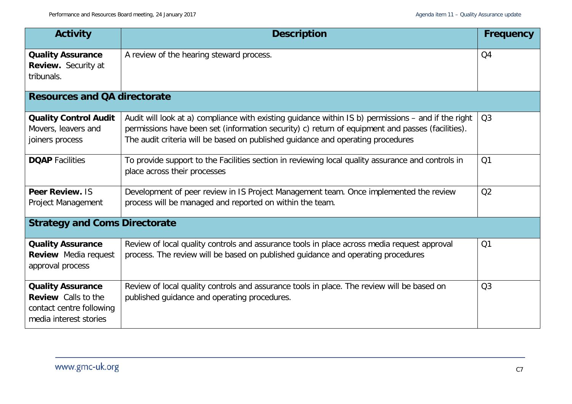| <b>Activity</b>                                                                                              | <b>Description</b>                                                                                                                                                                                                                                                                         | Frequency      |
|--------------------------------------------------------------------------------------------------------------|--------------------------------------------------------------------------------------------------------------------------------------------------------------------------------------------------------------------------------------------------------------------------------------------|----------------|
| <b>Quality Assurance</b><br><b>Review.</b> Security at<br>tribunals.                                         | A review of the hearing steward process.                                                                                                                                                                                                                                                   | Q <sub>4</sub> |
| <b>Resources and QA directorate</b>                                                                          |                                                                                                                                                                                                                                                                                            |                |
| <b>Quality Control Audit</b><br>Movers, leavers and<br>joiners process                                       | Audit will look at a) compliance with existing guidance within IS b) permissions – and if the right<br>permissions have been set (information security) c) return of equipment and passes (facilities).<br>The audit criteria will be based on published guidance and operating procedures | Q <sub>3</sub> |
| <b>DQAP</b> Facilities                                                                                       | To provide support to the Facilities section in reviewing local quality assurance and controls in<br>place across their processes                                                                                                                                                          | Q1             |
| Peer Review. IS<br>Project Management                                                                        | Development of peer review in IS Project Management team. Once implemented the review<br>process will be managed and reported on within the team.                                                                                                                                          | Q2             |
| <b>Strategy and Coms Directorate</b>                                                                         |                                                                                                                                                                                                                                                                                            |                |
| <b>Quality Assurance</b><br><b>Review</b> Media request<br>approval process                                  | Review of local quality controls and assurance tools in place across media request approval<br>process. The review will be based on published guidance and operating procedures                                                                                                            | Q1             |
| <b>Quality Assurance</b><br><b>Review</b> Calls to the<br>contact centre following<br>media interest stories | Review of local quality controls and assurance tools in place. The review will be based on<br>published guidance and operating procedures.                                                                                                                                                 | Q <sub>3</sub> |